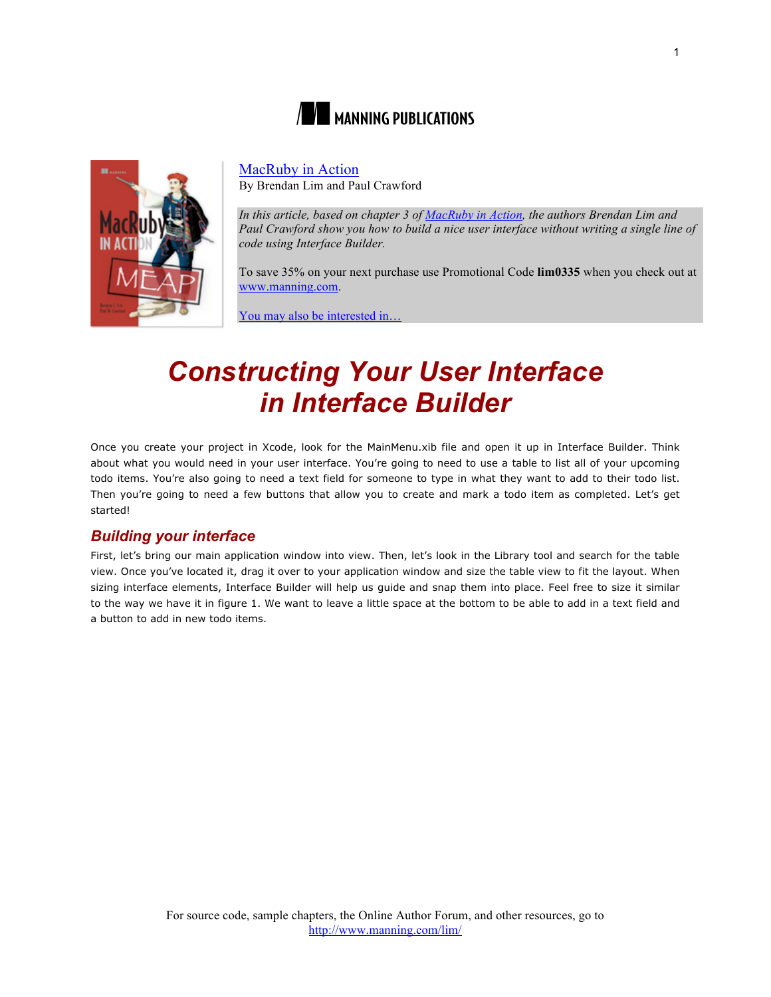



## MacRuby in Action

By Brendan Lim and Paul Crawford

*In this article, based on chapter 3 of MacRuby in Action, the authors Brendan Lim and Paul Crawford show you how to build a nice user interface without writing a single line of code using Interface Builder.*

To save 35% on your next purchase use Promotional Code **lim0335** when you check out at www.manning.com.

You may also be interested in…

# *Constructing Your User Interface in Interface Builder*

Once you create your project in Xcode, look for the MainMenu.xib file and open it up in Interface Builder. Think about what you would need in your user interface. You're going to need to use a table to list all of your upcoming todo items. You're also going to need a text field for someone to type in what they want to add to their todo list. Then you're going to need a few buttons that allow you to create and mark a todo item as completed. Let's get started!

# *Building your interface*

First, let's bring our main application window into view. Then, let's look in the Library tool and search for the table view. Once you've located it, drag it over to your application window and size the table view to fit the layout. When sizing interface elements, Interface Builder will help us guide and snap them into place. Feel free to size it similar to the way we have it in figure 1. We want to leave a little space at the bottom to be able to add in a text field and a button to add in new todo items.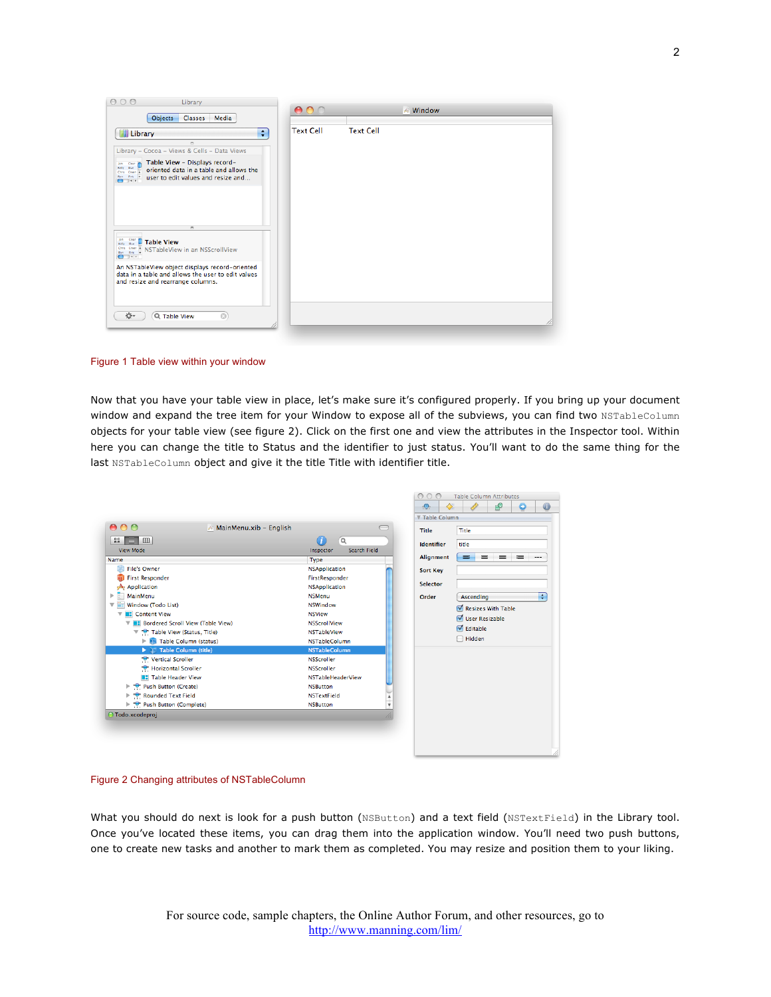

Figure 1 Table view within your window

Now that you have your table view in place, let's make sure it's configured properly. If you bring up your document window and expand the tree item for your Window to expose all of the subviews, you can find two NSTableColumn objects for your table view (see figure 2). Click on the first one and view the attributes in the Inspector tool. Within here you can change the title to Status and the identifier to just status. You'll want to do the same thing for the last NSTableColumn object and give it the title Title with identifier title.

|                                                  |                                              | $\bigcirc$<br>$\bigcirc$<br>C | <b>Table Column Attributes</b>     |
|--------------------------------------------------|----------------------------------------------|-------------------------------|------------------------------------|
|                                                  |                                              | ⊕                             | ₽<br>$\bigcirc$                    |
|                                                  |                                              | <b>V Table Column</b>         |                                    |
| 000<br>MainMenu.xib - English                    |                                              | <b>Title</b>                  | Title                              |
| $\mathbb{R}$ $\equiv$<br>$\Box$                  | $\alpha$                                     |                               |                                    |
| <b>View Mode</b>                                 | <b>Search Field</b><br>Inspector             | <b>Identifier</b>             | title                              |
| Name                                             | Type                                         | <b>Alignment</b>              | =<br>$=$<br>三 一<br>- 1<br>$\cdots$ |
| <b>File's Owner</b>                              | <b>NSApplication</b>                         | <b>Sort Key</b>               |                                    |
| <b>First Responder</b>                           | FirstResponder                               |                               |                                    |
| $Ae$ Application                                 | <b>NSApplication</b>                         | Selector                      |                                    |
| MainMenu                                         | <b>NSMenu</b>                                | Order                         | Ŧ<br>Ascending                     |
| Window (Todo List)<br>v                          | <b>NSWindow</b>                              |                               | Resizes With Table                 |
| <b>E</b> Content View                            | <b>NSView</b>                                |                               | <b>V</b> User Resizable            |
| <b>BE Bordered Scroll View (Table View)</b><br>▼ | <b>NSScrollView</b>                          |                               |                                    |
| The Table View (Status, Title)                   | <b>NSTableView</b>                           |                               | $\blacksquare$ Editable            |
| Table Column (status)                            | <b>NSTableColumn</b>                         |                               | $\Box$ Hidden                      |
| $\blacktriangleright$ Table Column (title)       | <b>NSTableColumn</b>                         |                               |                                    |
| Vertical Scroller                                | <b>NSScroller</b>                            |                               |                                    |
| Horizontal Scroller                              | <b>NSScroller</b>                            |                               |                                    |
| <b>BE</b> Table Header View                      | <b>NSTableHeaderView</b>                     |                               |                                    |
| P Push Button (Create)                           | <b>NSButton</b>                              |                               |                                    |
| Rounded Text Field                               | <b>NSTextField</b>                           |                               |                                    |
| Push Button (Complete)                           | <b>NSButton</b><br>$\boldsymbol{\mathrm{v}}$ |                               |                                    |
| ○ Todo.xcodeproj                                 |                                              |                               |                                    |
|                                                  |                                              |                               |                                    |
|                                                  |                                              |                               |                                    |
|                                                  |                                              |                               |                                    |

Figure 2 Changing attributes of NSTableColumn

What you should do next is look for a push button (NSButton) and a text field (NSTextField) in the Library tool. Once you've located these items, you can drag them into the application window. You'll need two push buttons, one to create new tasks and another to mark them as completed. You may resize and position them to your liking.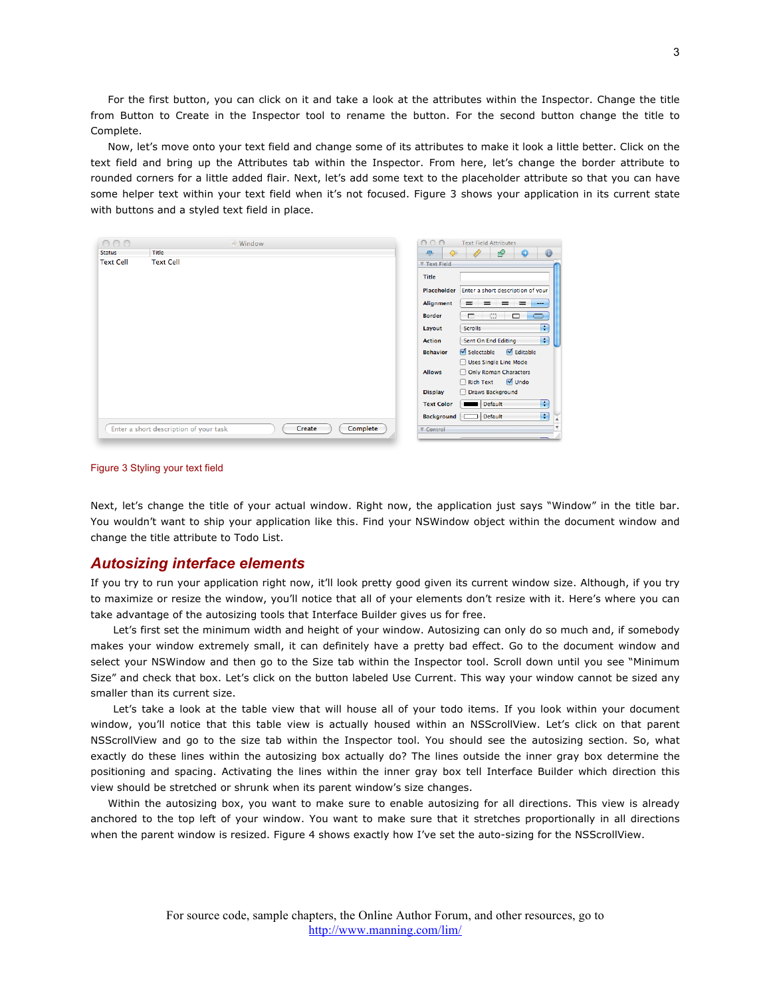For the first button, you can click on it and take a look at the attributes within the Inspector. Change the title from Button to Create in the Inspector tool to rename the button. For the second button change the title to Complete.

Now, let's move onto your text field and change some of its attributes to make it look a little better. Click on the text field and bring up the Attributes tab within the Inspector. From here, let's change the border attribute to rounded corners for a little added flair. Next, let's add some text to the placeholder attribute so that you can have some helper text within your text field when it's not focused. Figure 3 shows your application in its current state with buttons and a styled text field in place.

| 000              | $\#$ Window                                      | 00<br>$\bigcirc$<br><b>Text Field Attributes</b>                     |
|------------------|--------------------------------------------------|----------------------------------------------------------------------|
| <b>Status</b>    | <b>Title</b>                                     | $\bf \odot$<br>۰<br>$\bullet$<br>₽<br>Œ                              |
| <b>Text Cell</b> | <b>Text Cell</b>                                 | <b>V Text Field</b>                                                  |
|                  |                                                  | Title                                                                |
|                  |                                                  | Enter a short description of your<br>Placeholder                     |
|                  |                                                  | Alignment<br>- = -<br>$\equiv$<br>$\equiv$<br>$\equiv$<br>$---$      |
|                  |                                                  | $\Box$<br>$\Box$<br><b>Border</b><br>$\Box$<br>$\Box$                |
|                  |                                                  | ÷<br><b>Scrolls</b><br>Layout                                        |
|                  |                                                  | F<br>Sent On End Editing<br><b>Action</b>                            |
|                  |                                                  | $\sqrt{\phantom{a}}$ Editable<br>Selectable<br><b>Behavior</b>       |
|                  |                                                  | Uses Single Line Mode                                                |
|                  |                                                  | <b>Allows</b><br>Only Roman Characters<br><b>√</b> Undo<br>Rich Text |
|                  |                                                  | Draws Background<br><b>Display</b>                                   |
|                  |                                                  | Ð<br>Default<br><b>Text Color</b>                                    |
|                  |                                                  | $\overline{\mathcal{L}}$<br>Default<br><b>Background</b>             |
|                  | Create<br>Enter a short description of your task | $\overline{\mathbf{v}}$<br>Complete<br>▼ Control                     |
|                  |                                                  |                                                                      |

#### Figure 3 Styling your text field

Next, let's change the title of your actual window. Right now, the application just says "Window" in the title bar. You wouldn't want to ship your application like this. Find your NSWindow object within the document window and change the title attribute to Todo List.

#### *Autosizing interface elements*

If you try to run your application right now, it'll look pretty good given its current window size. Although, if you try to maximize or resize the window, you'll notice that all of your elements don't resize with it. Here's where you can take advantage of the autosizing tools that Interface Builder gives us for free.

Let's first set the minimum width and height of your window. Autosizing can only do so much and, if somebody makes your window extremely small, it can definitely have a pretty bad effect. Go to the document window and select your NSWindow and then go to the Size tab within the Inspector tool. Scroll down until you see "Minimum Size" and check that box. Let's click on the button labeled Use Current. This way your window cannot be sized any smaller than its current size.

Let's take a look at the table view that will house all of your todo items. If you look within your document window, you'll notice that this table view is actually housed within an NSScrollView. Let's click on that parent NSScrollView and go to the size tab within the Inspector tool. You should see the autosizing section. So, what exactly do these lines within the autosizing box actually do? The lines outside the inner gray box determine the positioning and spacing. Activating the lines within the inner gray box tell Interface Builder which direction this view should be stretched or shrunk when its parent window's size changes.

Within the autosizing box, you want to make sure to enable autosizing for all directions. This view is already anchored to the top left of your window. You want to make sure that it stretches proportionally in all directions when the parent window is resized. Figure 4 shows exactly how I've set the auto-sizing for the NSScrollView.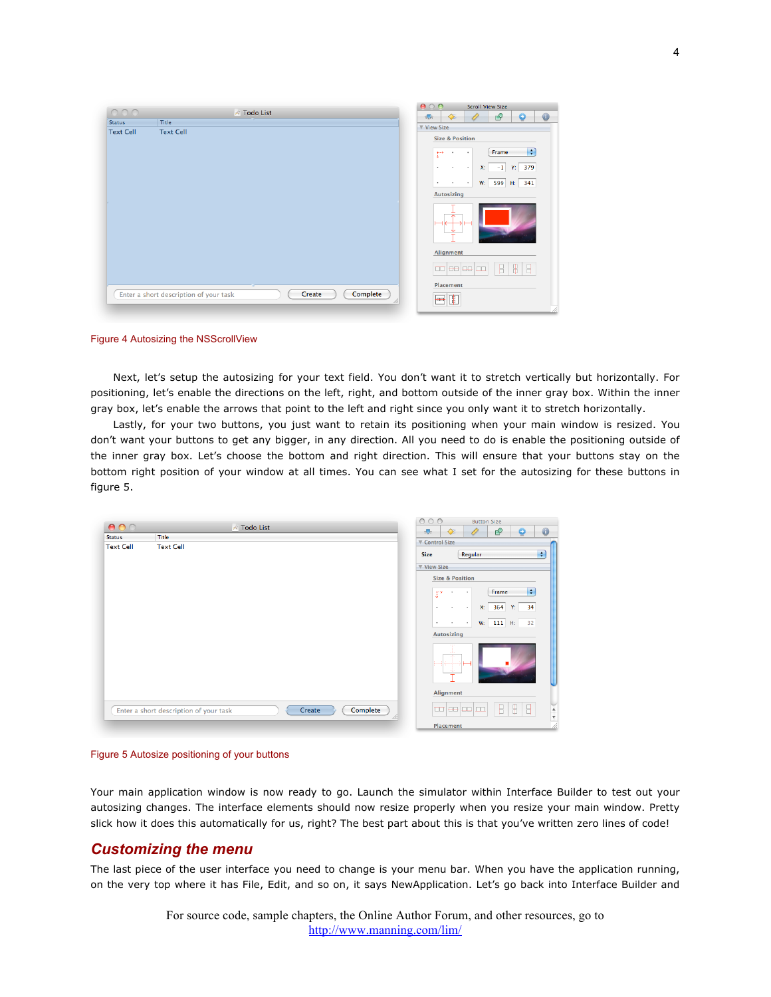| 000                                    | ★ Todo List |        |          | 000<br>$\bullet$     |                                                                                             | <b>Scroll View Size</b>                                |                                        |
|----------------------------------------|-------------|--------|----------|----------------------|---------------------------------------------------------------------------------------------|--------------------------------------------------------|----------------------------------------|
| Title<br><b>Status</b>                 |             |        |          | <b>View Size</b>     | ♦<br><b>A</b>                                                                               | $\mathbf{P}$<br>۰                                      | $\bullet$                              |
| <b>Text Cell</b><br><b>Text Cell</b>   |             |        |          |                      | <b>Size &amp; Position</b>                                                                  |                                                        |                                        |
|                                        |             |        |          | P                    | $\cdot$<br>$\bullet$                                                                        | Frame                                                  | H                                      |
|                                        |             |        |          | $\ddot{\phantom{1}}$ | X:<br>$\bullet$<br>$\cdot$                                                                  | $-1$ Y: 379                                            |                                        |
|                                        |             |        |          | $\bullet$            | $\cdot$<br>$\cdot$                                                                          | W: 599 H: 341                                          |                                        |
|                                        |             |        |          | Autosizing           |                                                                                             |                                                        |                                        |
|                                        |             |        |          |                      |                                                                                             |                                                        |                                        |
|                                        |             |        |          | Alignment            |                                                                                             |                                                        |                                        |
|                                        |             |        |          |                      | $\overline{\text{cm}}$ $\overline{\text{ee}}$ $\overline{\text{ee}}$ $\overline{\text{cm}}$ | $\begin{array}{c} \square \end{array}$<br>$\mathbb{R}$ | $\begin{array}{c} \square \end{array}$ |
|                                        |             |        |          | Placement            |                                                                                             |                                                        |                                        |
| Enter a short description of your task |             | Create | Complete | $\overline{=}$       | $\mathbb{F}$                                                                                |                                                        |                                        |

Figure 4 Autosizing the NSScrollView

Next, let's setup the autosizing for your text field. You don't want it to stretch vertically but horizontally. For positioning, let's enable the directions on the left, right, and bottom outside of the inner gray box. Within the inner gray box, let's enable the arrows that point to the left and right since you only want it to stretch horizontally.

Lastly, for your two buttons, you just want to retain its positioning when your main window is resized. You don't want your buttons to get any bigger, in any direction. All you need to do is enable the positioning outside of the inner gray box. Let's choose the bottom and right direction. This will ensure that your buttons stay on the bottom right position of your window at all times. You can see what I set for the autosizing for these buttons in figure 5.

|                  | ★ Todo List                                      | $\circ$<br>$\circ$<br>$\bigcirc$<br><b>Button Size</b>              |
|------------------|--------------------------------------------------|---------------------------------------------------------------------|
| <b>Status</b>    | Title                                            | $\bullet$<br>₽<br>$\bullet$<br>۰<br>♦                               |
| <b>Text Cell</b> | <b>Text Cell</b>                                 | ▼ Control Size                                                      |
|                  |                                                  | Ŧ<br>Regular<br>Size                                                |
|                  |                                                  | View Size                                                           |
|                  |                                                  | <b>Size &amp; Position</b>                                          |
|                  |                                                  | $\blacksquare$<br>Frame<br>$\Gamma^*$<br>٠<br>$\bullet$             |
|                  |                                                  | 364<br>Y:<br>34<br>X:<br>$\bullet$<br>$\cdot$<br>$\cdot$            |
|                  |                                                  | $W:$ 111 H:<br>32<br>$\blacksquare$<br>٠<br>$\bullet$               |
|                  |                                                  | <b>Autosizing</b>                                                   |
|                  |                                                  | $\overline{\phantom{a}}$                                            |
|                  |                                                  | Alignment                                                           |
|                  | Create<br>Enter a short description of your task | $\frac{1}{\sqrt{2}}$<br>⊴₿⊳<br>₽<br>d Dr<br>00 88 88 00<br>Complete |
|                  |                                                  | Placement                                                           |



Your main application window is now ready to go. Launch the simulator within Interface Builder to test out your autosizing changes. The interface elements should now resize properly when you resize your main window. Pretty slick how it does this automatically for us, right? The best part about this is that you've written zero lines of code!

## *Customizing the menu*

The last piece of the user interface you need to change is your menu bar. When you have the application running, on the very top where it has File, Edit, and so on, it says NewApplication. Let's go back into Interface Builder and

> For source code, sample chapters, the Online Author Forum, and other resources, go to http://www.manning.com/lim/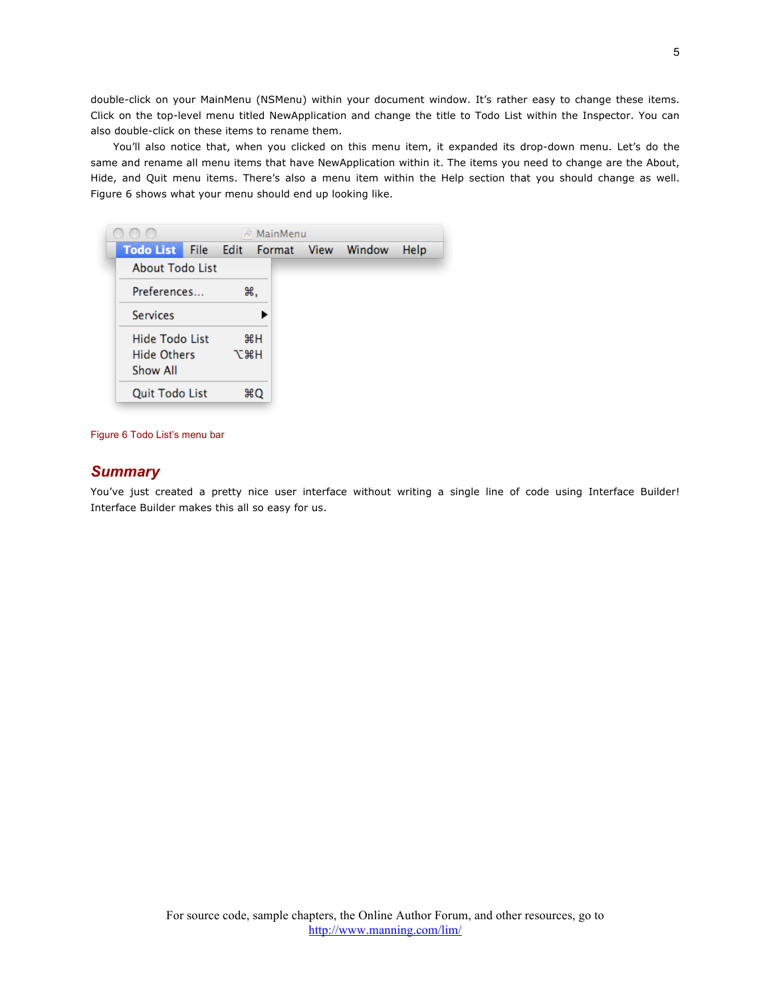double-click on your MainMenu (NSMenu) within your document window. It's rather easy to change these items. Click on the top-level menu titled NewApplication and change the title to Todo List within the Inspector. You can also double-click on these items to rename them.

You'll also notice that, when you clicked on this menu item, it expanded its drop-down menu. Let's do the same and rename all menu items that have NewApplication within it. The items you need to change are the About, Hide, and Quit menu items. There's also a menu item within the Help section that you should change as well. Figure 6 shows what your menu should end up looking like.

|                        |            | MainMenu |             |        |      |
|------------------------|------------|----------|-------------|--------|------|
| <b>Todo List</b>       | File Edit  | Format   | <b>View</b> | Window | Help |
| <b>About Todo List</b> |            |          |             |        |      |
| Preferences            |            | ₩.       |             |        |      |
| <b>Services</b>        |            |          |             |        |      |
| <b>Hide Todo List</b>  |            | $H^*$    |             |        |      |
| <b>Hide Others</b>     | <b>N%L</b> |          |             |        |      |
| Show All               |            |          |             |        |      |
| <b>Quit Todo List</b>  |            | жO       |             |        |      |

Figure 6 Todo List's menu bar

## *Summary*

You've just created a pretty nice user interface without writing a single line of code using Interface Builder! Interface Builder makes this all so easy for us.